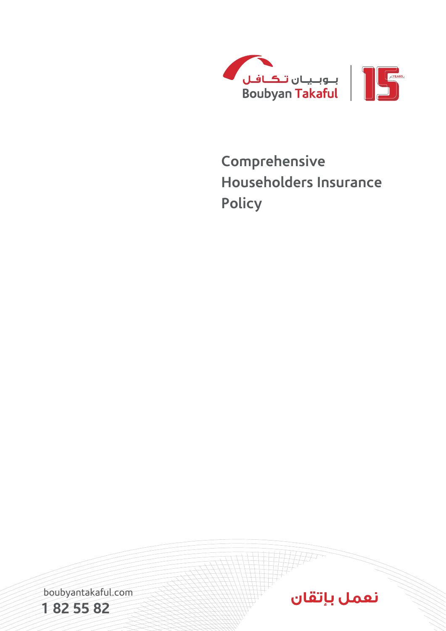

# **Comprehensive Householders Insurance Policy**

boubyantakaful.com



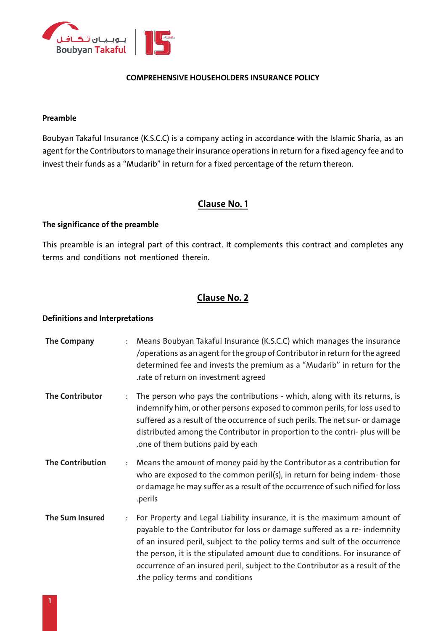

## **COMPREHENSIVE HOUSEHOLDERS INSURANCE POLICY**

### **Preamble**

Boubyan Takaful Insurance (K.S.C.C) is a company acting in accordance with the Islamic Sharia, as an agent for the Contributors to manage their insurance operations in return for a fixed agency fee and to invest their funds as a "Mudarib" in return for a fixed percentage of the return thereon.

## **Clause No. 1**

## **The significance of the preamble**

This preamble is an integral part of this contract. It complements this contract and completes any terms and conditions not mentioned therein.

## **Clause No. 2**

### **Definitions and Interpretations**

**The Company** : Means Boubyan Takaful Insurance (K.S.C.C) which manages the insurance /operations as an agent for the group of Contributor in return for the agreed determined fee and invests the premium as a "Mudarib" in return for the .rate of return on investment agreed **The Contributor** : The person who pays the contributions - which, along with its returns, is indemnify him, or other persons exposed to common perils, for loss used to suffered as a result of the occurrence of such perils. The net sur- or damage distributed among the Contributor in proportion to the contri- plus will be .one of them butions paid by each **The Contribution** : Means the amount of money paid by the Contributor as a contribution for who are exposed to the common peril(s), in return for being indem-those or damage he may suffer as a result of the occurrence of such nified for loss .perils **The Sum Insured** : For Property and Legal Liability insurance, it is the maximum amount of payable to the Contributor for loss or damage suffered as a re- indemnity of an insured peril, subject to the policy terms and sult of the occurrence the person, it is the stipulated amount due to conditions. For insurance of occurrence of an insured peril, subject to the Contributor as a result of the .the policy terms and conditions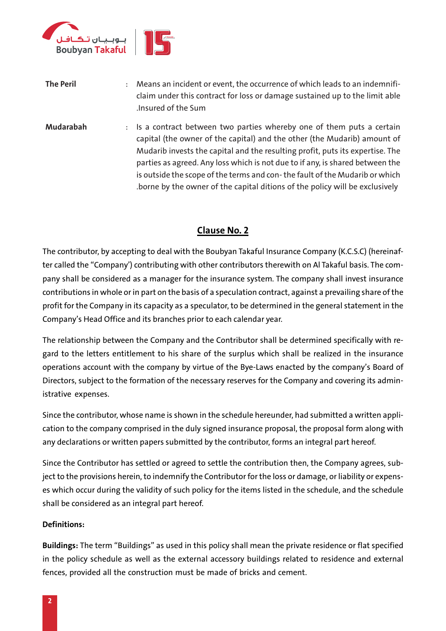

| <b>The Peril</b> | Means an incident or event, the occurrence of which leads to an indemnifi-<br>$\ddot{\cdot}$<br>claim under this contract for loss or damage sustained up to the limit able<br>.Insured of the Sum                                                                                                                   |
|------------------|----------------------------------------------------------------------------------------------------------------------------------------------------------------------------------------------------------------------------------------------------------------------------------------------------------------------|
| <b>Mudarabah</b> | : Is a contract between two parties whereby one of them puts a certain<br>capital (the owner of the capital) and the other (the Mudarib) amount of<br>Mudarib invests the capital and the resulting profit, puts its expertise. The<br>parties as agreed. Any loss which is not due to if any, is shared between the |
|                  | is outside the scope of the terms and con-the fault of the Mudarib or which<br>borne by the owner of the capital ditions of the policy will be exclusively.                                                                                                                                                          |

# **Clause No. 2**

The contributor, by accepting to deal with the Boubyan Takaful Insurance Company (K.C.S.C) (hereinafter called the "Company') contributing with other contributors therewith on Al Takaful basis. The company shall be considered as a manager for the insurance system. The company shall invest insurance contributions in whole or in part on the basis of a speculation contract, against a prevailing share of the profit for the Company in its capacity as a speculator, to be determined in the general statement in the Company's Head Office and its branches prior to each calendar year.

The relationship between the Company and the Contributor shall be determined specifically with regard to the letters entitlement to his share of the surplus which shall be realized in the insurance operations account with the company by virtue of the Bye-Laws enacted by the company's Board of Directors, subject to the formation of the necessary reserves for the Company and covering its administrative expenses.

Since the contributor, whose name is shown in the schedule hereunder, had submitted a written application to the company comprised in the duly signed insurance proposal, the proposal form along with any declarations or written papers submitted by the contributor, forms an integral part hereof.

Since the Contributor has settled or agreed to settle the contribution then, the Company agrees, subject to the provisions herein, to indemnify the Contributor for the loss or damage, or liability or expenses which occur during the validity of such policy for the items listed in the schedule, and the schedule shall be considered as an integral part hereof.

## **Definitions:**

**Buildings:** The term "Buildings" as used in this policy shall mean the private residence or flat specified in the policy schedule as well as the external accessory buildings related to residence and external fences, provided all the construction must be made of bricks and cement.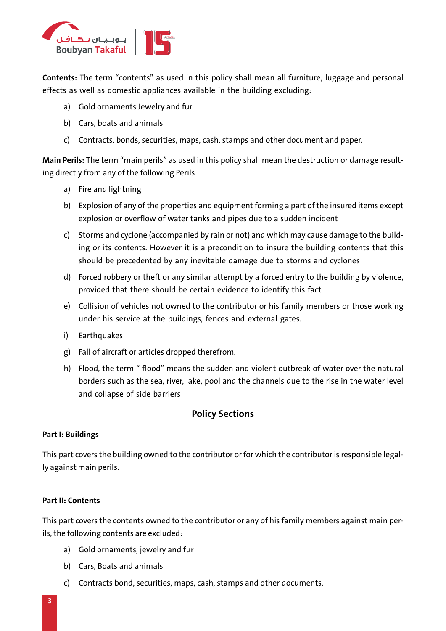

**Contents:** The term "contents" as used in this policy shall mean all furniture, luggage and personal effects as well as domestic appliances available in the building excluding:

- a) Gold ornaments Jewelry and fur.
- b) Cars, boats and animals
- c) Contracts, bonds, securities, maps, cash, stamps and other document and paper.

**Main Perils:** The term "main perils" as used in this policy shall mean the destruction or damage resulting directly from any of the following Perils

- a) Fire and lightning
- b) Explosion of any of the properties and equipment forming a part of the insured items except explosion or overflow of water tanks and pipes due to a sudden incident
- c) Storms and cyclone (accompanied by rain or not) and which may cause damage to the building or its contents. However it is a precondition to insure the building contents that this should be precedented by any inevitable damage due to storms and cyclones
- d) Forced robbery or theft or any similar attempt by a forced entry to the building by violence, provided that there should be certain evidence to identify this fact
- e) Collision of vehicles not owned to the contributor or his family members or those working under his service at the buildings, fences and external gates.
- i) Earthquakes
- g) Fall of aircraft or articles dropped therefrom.
- h) Flood, the term " flood" means the sudden and violent outbreak of water over the natural borders such as the sea, river, lake, pool and the channels due to the rise in the water level and collapse of side barriers

## **Policy Sections**

## **Part I: Buildings**

This part covers the building owned to the contributor or for which the contributor is responsible legally against main perils.

## **Part II: Contents**

This part covers the contents owned to the contributor or any of his family members against main perils, the following contents are excluded:

- a) Gold ornaments, jewelry and fur
- b) Cars, Boats and animals
- c) Contracts bond, securities, maps, cash, stamps and other documents.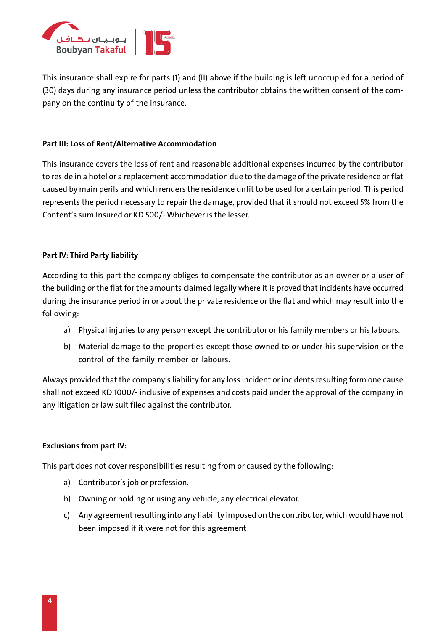![](_page_4_Picture_0.jpeg)

This insurance shall expire for parts (1) and (II) above if the building is left unoccupied for a period of (30) days during any insurance period unless the contributor obtains the written consent of the company on the continuity of the insurance.

## **Part III: Loss of Rent/Alternative Accommodation**

This insurance covers the loss of rent and reasonable additional expenses incurred by the contributor to reside in a hotel or a replacement accommodation due to the damage of the private residence or flat caused by main perils and which renders the residence unfit to be used for a certain period. This period represents the period necessary to repair the damage, provided that it should not exceed 5% from the Content's sum Insured or KD 500/- Whichever is the lesser.

## **Part IV: Third Party liability**

According to this part the company obliges to compensate the contributor as an owner or a user of the building or the flat for the amounts claimed legally where it is proved that incidents have occurred during the insurance period in or about the private residence or the flat and which may result into the following:

- a) Physical injuries to any person except the contributor or his family members or his labours.
- b) Material damage to the properties except those owned to or under his supervision or the control of the family member or labours.

Always provided that the company's liability for any loss incident or incidents resulting form one cause shall not exceed KD 1000/- inclusive of expenses and costs paid under the approval of the company in any litigation or law suit filed against the contributor.

## **Exclusions from part IV:**

This part does not cover responsibilities resulting from or caused by the following:

- a) Contributor's job or profession.
- b) Owning or holding or using any vehicle, any electrical elevator.
- c) Any agreement resulting into any liability imposed on the contributor, which would have not been imposed if it were not for this agreement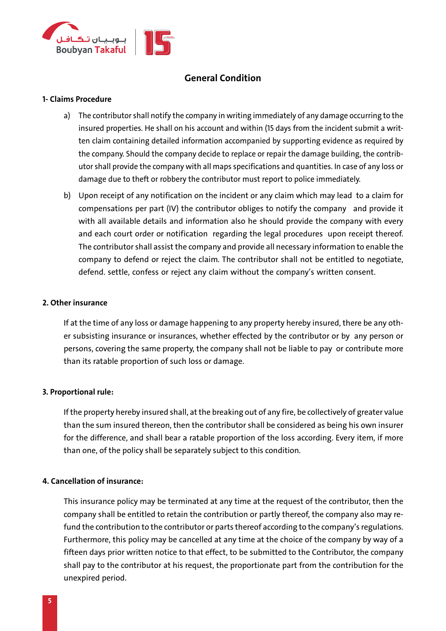![](_page_5_Picture_0.jpeg)

# **General Condition**

#### **1- Claims Procedure**

- a) The contributor shall notify the company in writing immediately of any damage occurring to the insured properties. He shall on his account and within (15 days from the incident submit a written claim containing detailed information accompanied by supporting evidence as required by the company. Should the company decide to replace or repair the damage building, the contributor shall provide the company with all maps specifications and quantities. In case of any loss or damage due to theft or robbery the contributor must report to police immediately.
- b) Upon receipt of any notification on the incident or any claim which may lead to a claim for compensations per part (IV) the contributor obliges to notify the company and provide it with all available details and information also he should provide the company with every and each court order or notification regarding the legal procedures upon receipt thereof. The contributor shall assist the company and provide all necessary information to enable the company to defend or reject the claim. The contributor shall not be entitled to negotiate, defend. settle, confess or reject any claim without the company's written consent.

#### **2. Other insurance**

If at the time of any loss or damage happening to any property hereby insured, there be any other subsisting insurance or insurances, whether effected by the contributor or by any person or persons, covering the same property, the company shall not be liable to pay or contribute more than its ratable proportion of such loss or damage.

## **3. Proportional rule:**

If the property hereby insured shall, at the breaking out of any fire, be collectively of greater value than the sum insured thereon, then the contributor shall be considered as being his own insurer for the difference, and shall bear a ratable proportion of the loss according. Every item, if more than one, of the policy shall be separately subject to this condition.

## **4. Cancellation of insurance:**

This insurance policy may be terminated at any time at the request of the contributor, then the company shall be entitled to retain the contribution or partly thereof, the company also may refund the contribution to the contributor or parts thereof according to the company's regulations. Furthermore, this policy may be cancelled at any time at the choice of the company by way of a fifteen days prior written notice to that effect, to be submitted to the Contributor, the company shall pay to the contributor at his request, the proportionate part from the contribution for the unexpired period.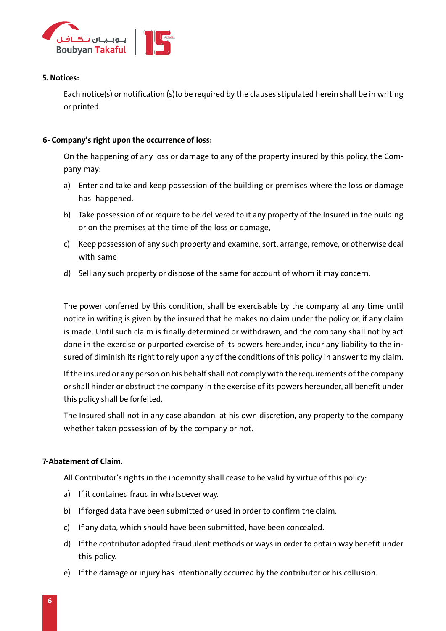![](_page_6_Picture_0.jpeg)

## **5. Notices:**

Each notice(s) or notification (s)to be required by the clauses stipulated herein shall be in writing or printed.

## **6- Company's right upon the occurrence of loss:**

On the happening of any loss or damage to any of the property insured by this policy, the Company may:

- a) Enter and take and keep possession of the building or premises where the loss or damage has happened.
- b) Take possession of or require to be delivered to it any property of the Insured in the building or on the premises at the time of the loss or damage,
- c) Keep possession of any such property and examine, sort, arrange, remove, or otherwise deal with same
- d) Sell any such property or dispose of the same for account of whom it may concern.

The power conferred by this condition, shall be exercisable by the company at any time until notice in writing is given by the insured that he makes no claim under the policy or, if any claim is made. Until such claim is finally determined or withdrawn, and the company shall not by act done in the exercise or purported exercise of its powers hereunder, incur any liability to the insured of diminish its right to rely upon any of the conditions of this policy in answer to my claim.

If the insured or any person on his behalf shall not comply with the requirements of the company or shall hinder or obstruct the company in the exercise of its powers hereunder, all benefit under this policy shall be forfeited.

The Insured shall not in any case abandon, at his own discretion, any property to the company whether taken possession of by the company or not.

## **7-Abatement of Claim.**

All Contributor's rights in the indemnity shall cease to be valid by virtue of this policy:

- a) If it contained fraud in whatsoever way.
- b) If forged data have been submitted or used in order to confirm the claim.
- c) If any data, which should have been submitted, have been concealed.
- d) If the contributor adopted fraudulent methods or ways in order to obtain way benefit under this policy.
- e) If the damage or injury has intentionally occurred by the contributor or his collusion.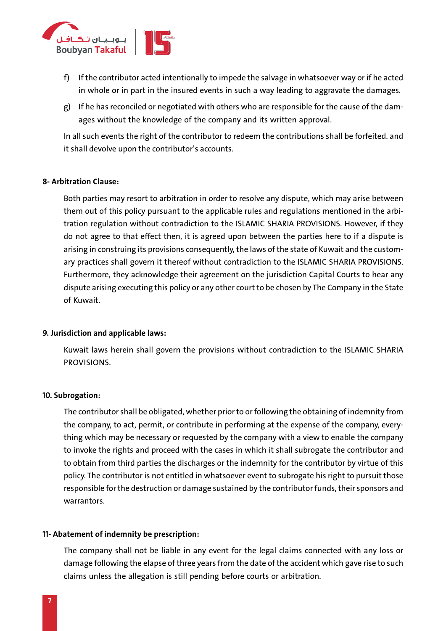![](_page_7_Picture_0.jpeg)

- f) If the contributor acted intentionally to impede the salvage in whatsoever way or if he acted in whole or in part in the insured events in such a way leading to aggravate the damages.
- g) If he has reconciled or negotiated with others who are responsible for the cause of the damages without the knowledge of the company and its written approval.

In all such events the right of the contributor to redeem the contributions shall be forfeited. and it shall devolve upon the contributor's accounts.

## **8- Arbitration Clause:**

Both parties may resort to arbitration in order to resolve any dispute, which may arise between them out of this policy pursuant to the applicable rules and regulations mentioned in the arbitration regulation without contradiction to the ISLAMIC SHARIA PROVISIONS. However, if they do not agree to that effect then, it is agreed upon between the parties here to if a dispute is arising in construing its provisions consequently, the laws of the state of Kuwait and the customary practices shall govern it thereof without contradiction to the ISLAMIC SHARIA PROVISIONS. Furthermore, they acknowledge their agreement on the jurisdiction Capital Courts to hear any dispute arising executing this policy or any other court to be chosen by The Company in the State of Kuwait.

#### **9. Jurisdiction and applicable laws:**

Kuwait laws herein shall govern the provisions without contradiction to the ISLAMIC SHARIA PROVISIONS.

#### **10. Subrogation:**

The contributor shall be obligated, whether prior to or following the obtaining of indemnity from the company, to act, permit, or contribute in performing at the expense of the company, everything which may be necessary or requested by the company with a view to enable the company to invoke the rights and proceed with the cases in which it shall subrogate the contributor and to obtain from third parties the discharges or the indemnity for the contributor by virtue of this policy. The contributor is not entitled in whatsoever event to subrogate his right to pursuit those responsible for the destruction or damage sustained by the contributor funds, their sponsors and warrantors.

## **11- Abatement of indemnity be prescription:**

The company shall not be liable in any event for the legal claims connected with any loss or damage following the elapse of three years from the date of the accident which gave rise to such claims unless the allegation is still pending before courts or arbitration.